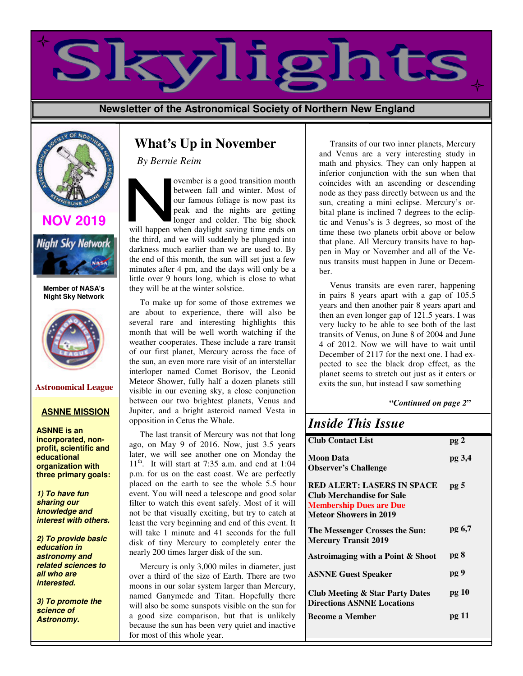

**Newsletter of the Astronomical Society of Northern New England**



# **NOV 2019**



**Member of NASA's Night Sky Network** 



#### **ASNNE MISSION**

**ASNNE is an incorporated, nonprofit, scientific and educational organization with three primary goals:**

**1) To have fun sharing our knowledge and interest with others.**

**2) To provide basic education in astronomy and related sciences to all who are interested.**

**3) To promote the science of Astronomy.**

# **What's Up in November**

*By Bernie Reim* 

ovember is a good transition month between fall and winter. Most of our famous foliage is now past its peak and the nights are getting longer and colder. The big shock will happen when daylight saving time ends on the third, and we will suddenly be plunged into darkness much earlier than we are used to. By the end of this month, the sun will set just a few minutes after 4 pm, and the days will only be a little over 9 hours long, which is close to what they will be at the winter solstice.

 To make up for some of those extremes we are about to experience, there will also be several rare and interesting highlights this month that will be well worth watching if the weather cooperates. These include a rare transit of our first planet, Mercury across the face of the sun, an even more rare visit of an interstellar interloper named Comet Borisov, the Leonid Meteor Shower, fully half a dozen planets still visible in our evening sky, a close conjunction between our two brightest planets, Venus and Jupiter, and a bright asteroid named Vesta in opposition in Cetus the Whale. **Astronomical League** Meteor Shower, fully half a dozen planets still exits the sun, but instead I saw something

> The last transit of Mercury was not that long ago, on May 9 of 2016. Now, just 3.5 years later, we will see another one on Monday the  $11<sup>th</sup>$ . It will start at 7:35 a.m. and end at 1:04 p.m. for us on the east coast. We are perfectly placed on the earth to see the whole 5.5 hour event. You will need a telescope and good solar filter to watch this event safely. Most of it will not be that visually exciting, but try to catch at least the very beginning and end of this event. It will take 1 minute and 41 seconds for the full disk of tiny Mercury to completely enter the nearly 200 times larger disk of the sun.

> Mercury is only 3,000 miles in diameter, just over a third of the size of Earth. There are two moons in our solar system larger than Mercury, named Ganymede and Titan. Hopefully there will also be some sunspots visible on the sun for a good size comparison, but that is unlikely because the sun has been very quiet and inactive for most of this whole year.

 Transits of our two inner planets, Mercury and Venus are a very interesting study in math and physics. They can only happen at inferior conjunction with the sun when that coincides with an ascending or descending node as they pass directly between us and the sun, creating a mini eclipse. Mercury's orbital plane is inclined 7 degrees to the ecliptic and Venus's is 3 degrees, so most of the time these two planets orbit above or below that plane. All Mercury transits have to happen in May or November and all of the Venus transits must happen in June or December.

 Venus transits are even rarer, happening in pairs 8 years apart with a gap of 105.5 years and then another pair 8 years apart and then an even longer gap of 121.5 years. I was very lucky to be able to see both of the last transits of Venus, on June 8 of 2004 and June 4 of 2012. Now we will have to wait until December of 2117 for the next one. I had expected to see the black drop effect, as the planet seems to stretch out just as it enters or

#### **"***Continued on page 2***"**

| <b>Inside This Issue</b>                                                                                                                 |                 |
|------------------------------------------------------------------------------------------------------------------------------------------|-----------------|
| <b>Club Contact List</b>                                                                                                                 | pg <sub>2</sub> |
| <b>Moon Data</b><br><b>Observer's Challenge</b>                                                                                          | pg 3,4          |
| <b>RED ALERT: LASERS IN SPACE</b><br><b>Club Merchandise for Sale</b><br><b>Membership Dues are Due</b><br><b>Meteor Showers in 2019</b> | pg <sub>5</sub> |
| The Messenger Crosses the Sun:<br><b>Mercury Transit 2019</b>                                                                            | pg 6,7          |
| Astroimaging with a Point & Shoot                                                                                                        | pg 8            |
| <b>ASNNE Guest Speaker</b>                                                                                                               | pg 9            |
| <b>Club Meeting &amp; Star Party Dates</b><br><b>Directions ASNNE Locations</b>                                                          | pg 10           |
| <b>Become a Member</b>                                                                                                                   | pg 11           |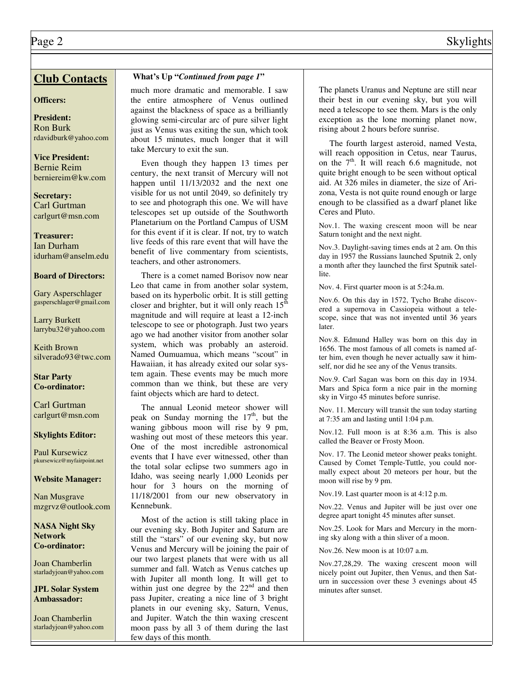# **Club Contacts**

#### **Officers:**

**President:**  Ron Burk rdavidburk@yahoo.com

**Vice President:**  Bernie Reim berniereim@kw.com

**Secretary:**  Carl Gurtman carlgurt@msn.com

**Treasurer:**  Ian Durham idurham@anselm.edu

#### **Board of Directors:**

Gary Asperschlager gasperschlager@gmail.com

Larry Burkett larrybu32@yahoo.com

Keith Brown silverado93@twc.com

**Star Party Co-ordinator:**

Carl Gurtman carlgurt@msn.com

#### **Skylights Editor:**

Paul Kursewicz pkursewicz@myfairpoint.net

#### **Website Manager:**

Nan Musgrave mzgrvz@outlook.com

#### **NASA Night Sky Network Co-ordinator:**

Joan Chamberlin starladyjoan@yahoo.com

**JPL Solar System Ambassador:** 

Joan Chamberlin starladyjoan@yahoo.com

### **What's Up "***Continued from page 1***"**

much more dramatic and memorable. I saw the entire atmosphere of Venus outlined against the blackness of space as a brilliantly glowing semi-circular arc of pure silver light just as Venus was exiting the sun, which took about 15 minutes, much longer that it will take Mercury to exit the sun.

 Even though they happen 13 times per century, the next transit of Mercury will not happen until 11/13/2032 and the next one visible for us not until 2049, so definitely try to see and photograph this one. We will have telescopes set up outside of the Southworth Planetarium on the Portland Campus of USM for this event if it is clear. If not, try to watch live feeds of this rare event that will have the benefit of live commentary from scientists, teachers, and other astronomers.

 There is a comet named Borisov now near Leo that came in from another solar system, based on its hyperbolic orbit. It is still getting closer and brighter, but it will only reach  $15^{\text{th}}$ magnitude and will require at least a 12-inch telescope to see or photograph. Just two years ago we had another visitor from another solar system, which was probably an asteroid. Named Oumuamua, which means "scout" in Hawaiian, it has already exited our solar system again. These events may be much more common than we think, but these are very faint objects which are hard to detect.

 The annual Leonid meteor shower will peak on Sunday morning the  $17<sup>th</sup>$ , but the waning gibbous moon will rise by 9 pm, washing out most of these meteors this year. One of the most incredible astronomical events that I have ever witnessed, other than the total solar eclipse two summers ago in Idaho, was seeing nearly 1,000 Leonids per hour for 3 hours on the morning of 11/18/2001 from our new observatory in Kennebunk.

 Most of the action is still taking place in our evening sky. Both Jupiter and Saturn are still the "stars" of our evening sky, but now Venus and Mercury will be joining the pair of our two largest planets that were with us all summer and fall. Watch as Venus catches up with Jupiter all month long. It will get to within just one degree by the  $22<sup>nd</sup>$  and then pass Jupiter, creating a nice line of 3 bright planets in our evening sky, Saturn, Venus, and Jupiter. Watch the thin waxing crescent moon pass by all 3 of them during the last few days of this month.

The planets Uranus and Neptune are still near their best in our evening sky, but you will need a telescope to see them. Mars is the only exception as the lone morning planet now, rising about 2 hours before sunrise.

 The fourth largest asteroid, named Vesta, will reach opposition in Cetus, near Taurus, on the  $7<sup>th</sup>$ . It will reach 6.6 magnitude, not quite bright enough to be seen without optical aid. At 326 miles in diameter, the size of Arizona, Vesta is not quite round enough or large enough to be classified as a dwarf planet like Ceres and Pluto.

Nov.1. The waxing crescent moon will be near Saturn tonight and the next night.

Nov.3. Daylight-saving times ends at 2 am. On this day in 1957 the Russians launched Sputnik 2, only a month after they launched the first Sputnik satellite.

Nov. 4. First quarter moon is at 5:24a.m.

Nov.6. On this day in 1572, Tycho Brahe discovered a supernova in Cassiopeia without a telescope, since that was not invented until 36 years later.

Nov.8. Edmund Halley was born on this day in 1656. The most famous of all comets is named after him, even though he never actually saw it himself, nor did he see any of the Venus transits.

Nov.9. Carl Sagan was born on this day in 1934. Mars and Spica form a nice pair in the morning sky in Virgo 45 minutes before sunrise.

Nov. 11. Mercury will transit the sun today starting at 7:35 am and lasting until 1:04 p.m.

Nov.12. Full moon is at 8:36 a.m. This is also called the Beaver or Frosty Moon.

Nov. 17. The Leonid meteor shower peaks tonight. Caused by Comet Temple-Tuttle, you could normally expect about 20 meteors per hour, but the moon will rise by 9 pm.

Nov.19. Last quarter moon is at 4:12 p.m.

Nov.22. Venus and Jupiter will be just over one degree apart tonight 45 minutes after sunset.

Nov.25. Look for Mars and Mercury in the morning sky along with a thin sliver of a moon.

Nov.26. New moon is at 10:07 a.m.

Nov.27,28,29. The waxing crescent moon will nicely point out Jupiter, then Venus, and then Saturn in succession over these 3 evenings about 45 minutes after sunset.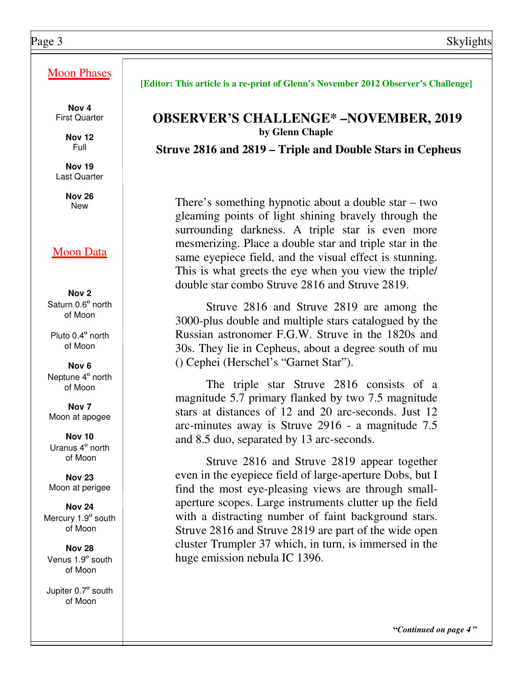# Moon Phases

**Nov 4**  First Quarter

> **Nov 12**  Full

**Nov 19**  Last Quarter

**Nov 26** 

# Moon Data

**Nov 2**  Saturn 0.6º north of Moon

Pluto 0.4º north of Moon

**Nov 6** Neptune 4º north of Moon

**Nov 7** Moon at apogee

**Nov 10** Uranus 4º north of Moon

**Nov 23**  Moon at perigee

**Nov 24** Mercury 1.9° south of Moon

**Nov 28** Venus 1.9º south of Moon

Jupiter 0.7º south of Moon

### **[Editor: This article is a re-print of Glenn's November 2012 Observer's Challenge]**

# **OBSERVER'S CHALLENGE\* –NOVEMBER, 2019 by Glenn Chaple**

**Struve 2816 and 2819 – Triple and Double Stars in Cepheus** 

There's something hypnotic about a double star – two gleaming points of light shining bravely through the surrounding darkness. A triple star is even more mesmerizing. Place a double star and triple star in the same eyepiece field, and the visual effect is stunning. This is what greets the eye when you view the triple/ double star combo Struve 2816 and Struve 2819.

 Struve 2816 and Struve 2819 are among the 3000-plus double and multiple stars catalogued by the Russian astronomer F.G.W. Struve in the 1820s and 30s. They lie in Cepheus, about a degree south of mu () Cephei (Herschel's "Garnet Star").

 The triple star Struve 2816 consists of a magnitude 5.7 primary flanked by two 7.5 magnitude stars at distances of 12 and 20 arc-seconds. Just 12 arc-minutes away is Struve 2916 - a magnitude 7.5 and 8.5 duo, separated by 13 arc-seconds.

 Struve 2816 and Struve 2819 appear together even in the eyepiece field of large-aperture Dobs, but I find the most eye-pleasing views are through smallaperture scopes. Large instruments clutter up the field with a distracting number of faint background stars. Struve 2816 and Struve 2819 are part of the wide open cluster Trumpler 37 which, in turn, is immersed in the huge emission nebula IC 1396.

 **"***Continued on page 4* **"**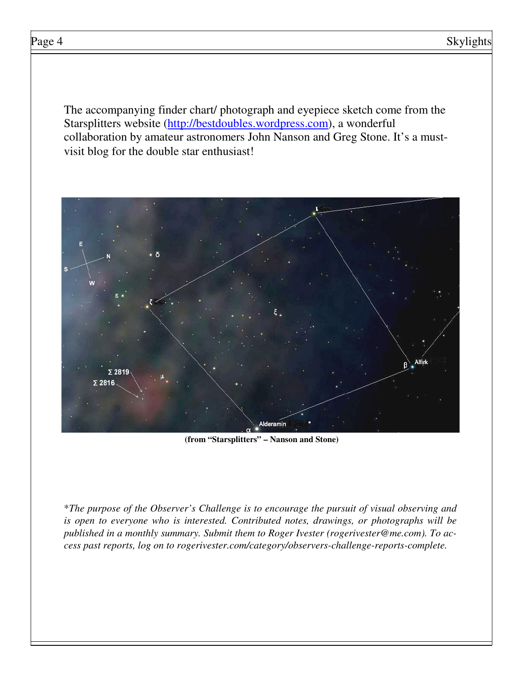The accompanying finder chart/ photograph and eyepiece sketch come from the Starsplitters website (http://bestdoubles.wordpress.com), a wonderful collaboration by amateur astronomers John Nanson and Greg Stone. It's a mustvisit blog for the double star enthusiast!



**(from "Starsplitters" – Nanson and Stone)** 

\**The purpose of the Observer's Challenge is to encourage the pursuit of visual observing and is open to everyone who is interested. Contributed notes, drawings, or photographs will be published in a monthly summary. Submit them to Roger Ivester (rogerivester@me.com). To access past reports, log on to rogerivester.com/category/observers-challenge-reports-complete.*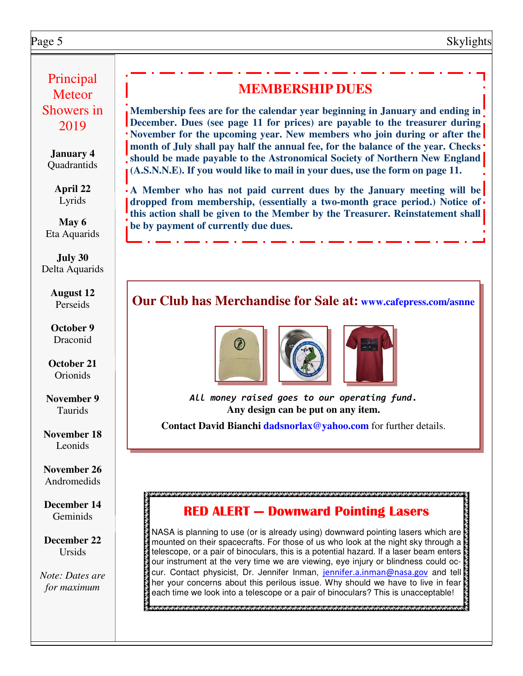# Page 5 Skylights

# Principal **Meteor** Showers in 2019

**January 4 Ouadrantids** 

> **April 22** Lyrids

**May 6** Eta Aquarids

**July 30** Delta Aquarids

> **August 12** Perseids

**October 9** Draconid

**October 21** Orionids

**November 9** Taurids

**November 18** Leonids

**November 26** Andromedids

**December 14 Geminids** 

**December 22** Ursids

*Note: Dates are for maximum*

# **MEMBERSHIP DUES**

**Membership fees are for the calendar year beginning in January and ending in December. Dues (see page 11 for prices) are payable to the treasurer during November for the upcoming year. New members who join during or after the month of July shall pay half the annual fee, for the balance of the year. Checks should be made payable to the Astronomical Society of Northern New England (A.S.N.N.E). If you would like to mail in your dues, use the form on page 11.** 

**A Member who has not paid current dues by the January meeting will be dropped from membership, (essentially a two-month grace period.) Notice of this action shall be given to the Member by the Treasurer. Reinstatement shall be by payment of currently due dues.** 

# **Our Club has Merchandise for Sale at: www.cafepress.com/asnne**







All money raised goes to our operating fund. **Any design can be put on any item.** 

**Contact David Bianchi dadsnorlax@yahoo.com** for further details.

# RED ALERT — Downward Pointing Lasers

NASA is planning to use (or is already using) downward pointing lasers which are mounted on their spacecrafts. For those of us who look at the night sky through a telescope, or a pair of binoculars, this is a potential hazard. If a laser beam enters our instrument at the very time we are viewing, eye injury or blindness could occur. Contact physicist, Dr. Jennifer Inman, jennifer.a.inman@nasa.gov and tell a her your concerns about this perilous issue. Why should we have to live in fear each time we look into a telescope or a pair of binoculars? This is unacceptable!

 $\ge$ жанаматанаматанаматанаматанаматанаматанаматанаматанаматанаматанаматанаматанаматанаматанаматанаматана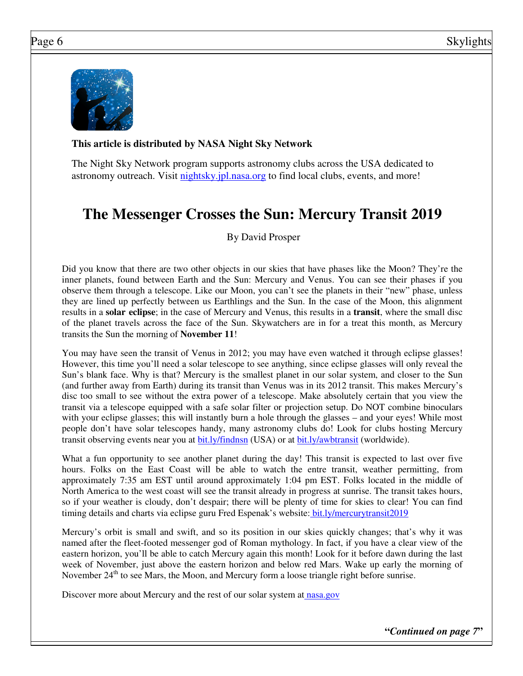

## **This article is distributed by NASA Night Sky Network**

The Night Sky Network program supports astronomy clubs across the USA dedicated to astronomy outreach. Visit nightsky.jpl.nasa.org to find local clubs, events, and more!

# **The Messenger Crosses the Sun: Mercury Transit 2019**

By David Prosper

Did you know that there are two other objects in our skies that have phases like the Moon? They're the inner planets, found between Earth and the Sun: Mercury and Venus. You can see their phases if you observe them through a telescope. Like our Moon, you can't see the planets in their "new" phase, unless they are lined up perfectly between us Earthlings and the Sun. In the case of the Moon, this alignment results in a **solar eclipse**; in the case of Mercury and Venus, this results in a **transit**, where the small disc of the planet travels across the face of the Sun. Skywatchers are in for a treat this month, as Mercury transits the Sun the morning of **November 11**!

You may have seen the transit of Venus in 2012; you may have even watched it through eclipse glasses! However, this time you'll need a solar telescope to see anything, since eclipse glasses will only reveal the Sun's blank face. Why is that? Mercury is the smallest planet in our solar system, and closer to the Sun (and further away from Earth) during its transit than Venus was in its 2012 transit. This makes Mercury's disc too small to see without the extra power of a telescope. Make absolutely certain that you view the transit via a telescope equipped with a safe solar filter or projection setup. Do NOT combine binoculars with your eclipse glasses; this will instantly burn a hole through the glasses – and your eyes! While most people don't have solar telescopes handy, many astronomy clubs do! Look for clubs hosting Mercury transit observing events near you at bit.ly/findnsn (USA) or at bit.ly/awbtransit (worldwide).

What a fun opportunity to see another planet during the day! This transit is expected to last over five hours. Folks on the East Coast will be able to watch the entre transit, weather permitting, from approximately 7:35 am EST until around approximately 1:04 pm EST. Folks located in the middle of North America to the west coast will see the transit already in progress at sunrise. The transit takes hours, so if your weather is cloudy, don't despair; there will be plenty of time for skies to clear! You can find timing details and charts via eclipse guru Fred Espenak's website: bit.ly/mercurytransit2019

Mercury's orbit is small and swift, and so its position in our skies quickly changes; that's why it was named after the fleet-footed messenger god of Roman mythology. In fact, if you have a clear view of the eastern horizon, you'll be able to catch Mercury again this month! Look for it before dawn during the last week of November, just above the eastern horizon and below red Mars. Wake up early the morning of November  $24<sup>th</sup>$  to see Mars, the Moon, and Mercury form a loose triangle right before sunrise.

Discover more about Mercury and the rest of our solar system at nasa.gov

**"***Continued on page 7***"**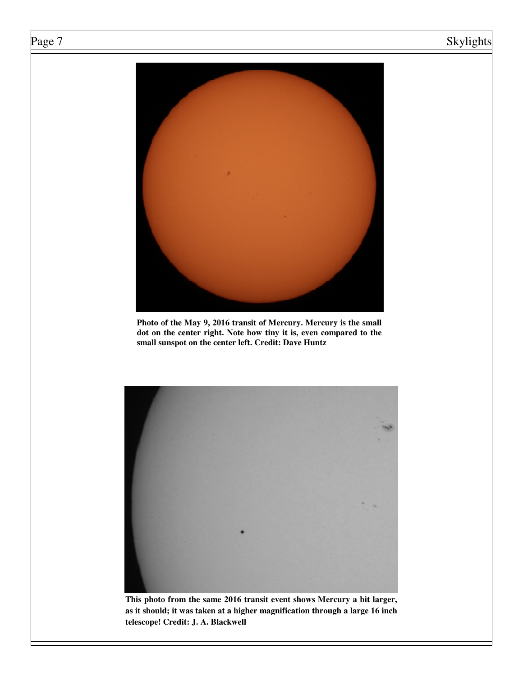# Page 7 Skylights



**Photo of the May 9, 2016 transit of Mercury. Mercury is the small dot on the center right. Note how tiny it is, even compared to the small sunspot on the center left. Credit: Dave Huntz** 



**This photo from the same 2016 transit event shows Mercury a bit larger, as it should; it was taken at a higher magnification through a large 16 inch telescope! Credit: J. A. Blackwell**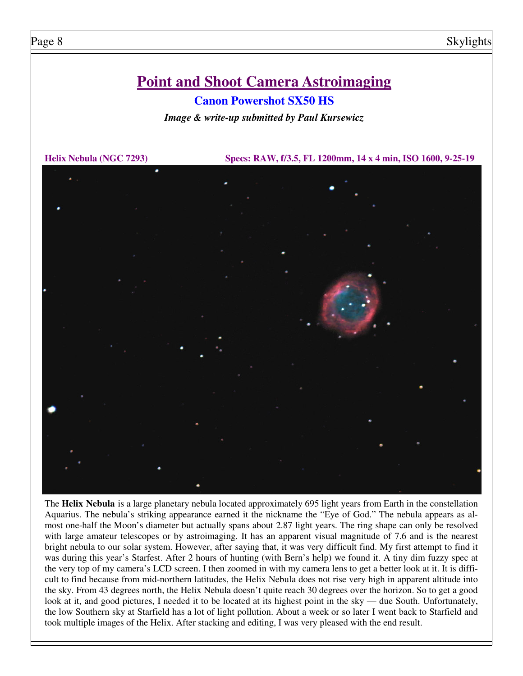# **Point and Shoot Camera Astroimaging**

# **Canon Powershot SX50 HS**

*Image & write-up submitted by Paul Kursewicz* 

**Helix Nebula (NGC 7293) Specs: RAW, f/3.5, FL 1200mm, 14 x 4 min, ISO 1600, 9-25-19**



The **Helix Nebula** is a large planetary nebula located approximately 695 light years from Earth in the constellation Aquarius. The nebula's striking appearance earned it the nickname the "Eye of God." The nebula appears as almost one-half the Moon's diameter but actually spans about 2.87 light years. The ring shape can only be resolved with large amateur telescopes or by astroimaging. It has an apparent visual magnitude of 7.6 and is the nearest bright nebula to our solar system. However, after saying that, it was very difficult find. My first attempt to find it was during this year's Starfest. After 2 hours of hunting (with Bern's help) we found it. A tiny dim fuzzy spec at the very top of my camera's LCD screen. I then zoomed in with my camera lens to get a better look at it. It is difficult to find because from mid-northern latitudes, the Helix Nebula does not rise very high in apparent altitude into the sky. From 43 degrees north, the Helix Nebula doesn't quite reach 30 degrees over the horizon. So to get a good look at it, and good pictures, I needed it to be located at its highest point in the sky — due South. Unfortunately, the low Southern sky at Starfield has a lot of light pollution. About a week or so later I went back to Starfield and took multiple images of the Helix. After stacking and editing, I was very pleased with the end result.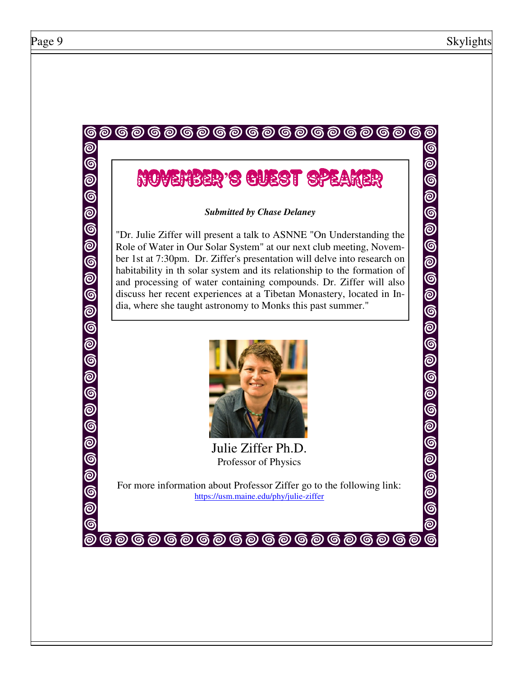ම

# **@@@@@@@@@@@@@@@@@**@ November**'**s Guest Speaker

### *Submitted by Chase Delaney*

"Dr. Julie Ziffer will present a talk to ASNNE "On Understanding the Role of Water in Our Solar System" at our next club meeting, November 1st at 7:30pm. Dr. Ziffer's presentation will delve into research on habitability in th solar system and its relationship to the formation of and processing of water containing compounds. Dr. Ziffer will also discuss her recent experiences at a Tibetan Monastery, located in India, where she taught astronomy to Monks this past summer."



Julie Ziffer Ph.D. Professor of Physics

For more information about Professor Ziffer go to the following link: https://usm.maine.edu/phy/julie-ziffer

**@@@@@@@@@@@@@@@@@@**@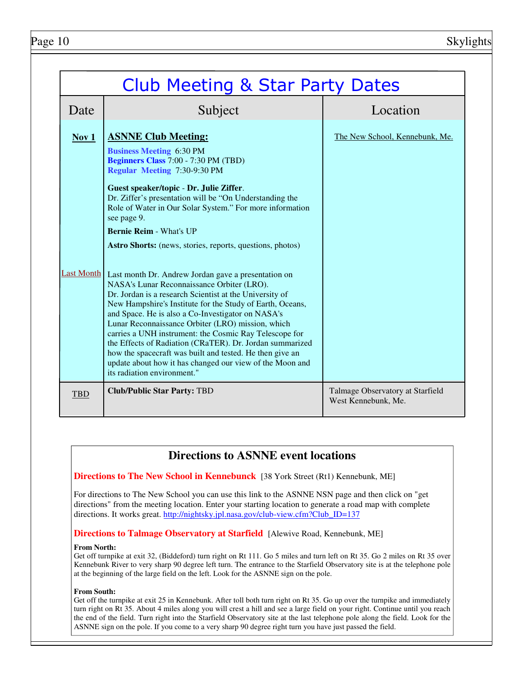| <b>Club Meeting &amp; Star Party Dates</b> |                                                                                                                                                                                                                                                                                                                                                                                                                                                                                                                                                                                                                                                                                                                                                                                                                                                                                                                                                                                                                                                         |                                                         |
|--------------------------------------------|---------------------------------------------------------------------------------------------------------------------------------------------------------------------------------------------------------------------------------------------------------------------------------------------------------------------------------------------------------------------------------------------------------------------------------------------------------------------------------------------------------------------------------------------------------------------------------------------------------------------------------------------------------------------------------------------------------------------------------------------------------------------------------------------------------------------------------------------------------------------------------------------------------------------------------------------------------------------------------------------------------------------------------------------------------|---------------------------------------------------------|
| Date                                       | Subject                                                                                                                                                                                                                                                                                                                                                                                                                                                                                                                                                                                                                                                                                                                                                                                                                                                                                                                                                                                                                                                 | Location                                                |
| Nov 1<br><b>Last Month</b>                 | <b>ASNNE Club Meeting:</b><br><b>Business Meeting 6:30 PM</b><br><b>Beginners Class 7:00 - 7:30 PM (TBD)</b><br><b>Regular Meeting 7:30-9:30 PM</b><br>Guest speaker/topic - Dr. Julie Ziffer.<br>Dr. Ziffer's presentation will be "On Understanding the<br>Role of Water in Our Solar System." For more information<br>see page 9.<br><b>Bernie Reim - What's UP</b><br>Astro Shorts: (news, stories, reports, questions, photos)<br>Last month Dr. Andrew Jordan gave a presentation on<br>NASA's Lunar Reconnaissance Orbiter (LRO).<br>Dr. Jordan is a research Scientist at the University of<br>New Hampshire's Institute for the Study of Earth, Oceans,<br>and Space. He is also a Co-Investigator on NASA's<br>Lunar Reconnaissance Orbiter (LRO) mission, which<br>carries a UNH instrument: the Cosmic Ray Telescope for<br>the Effects of Radiation (CRaTER). Dr. Jordan summarized<br>how the spacecraft was built and tested. He then give an<br>update about how it has changed our view of the Moon and<br>its radiation environment." | The New School, Kennebunk, Me.                          |
| <b>TBD</b>                                 | <b>Club/Public Star Party: TBD</b>                                                                                                                                                                                                                                                                                                                                                                                                                                                                                                                                                                                                                                                                                                                                                                                                                                                                                                                                                                                                                      | Talmage Observatory at Starfield<br>West Kennebunk, Me. |

# **Directions to ASNNE event locations**

**Directions to The New School in Kennebunck** [38 York Street (Rt1) Kennebunk, ME]

For directions to The New School you can use this link to the ASNNE NSN page and then click on "get directions" from the meeting location. Enter your starting location to generate a road map with complete directions. It works great. http://nightsky.jpl.nasa.gov/club-view.cfm?Club\_ID=137

### **Directions to Talmage Observatory at Starfield** [Alewive Road, Kennebunk, ME]

#### **From North:**

Get off turnpike at exit 32, (Biddeford) turn right on Rt 111. Go 5 miles and turn left on Rt 35. Go 2 miles on Rt 35 over Kennebunk River to very sharp 90 degree left turn. The entrance to the Starfield Observatory site is at the telephone pole at the beginning of the large field on the left. Look for the ASNNE sign on the pole.

#### **From South:**

Get off the turnpike at exit 25 in Kennebunk. After toll both turn right on Rt 35. Go up over the turnpike and immediately turn right on Rt 35. About 4 miles along you will crest a hill and see a large field on your right. Continue until you reach the end of the field. Turn right into the Starfield Observatory site at the last telephone pole along the field. Look for the ASNNE sign on the pole. If you come to a very sharp 90 degree right turn you have just passed the field.